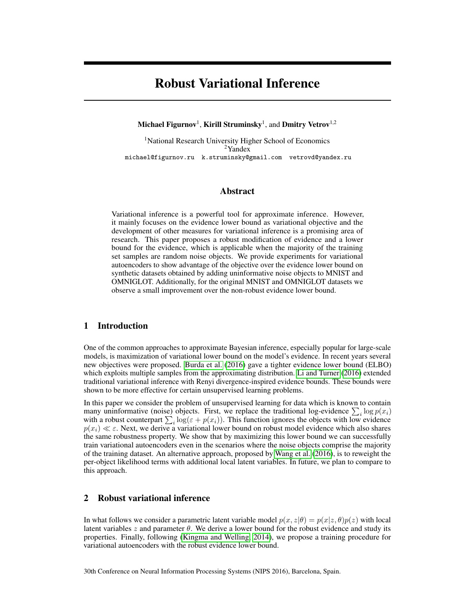# Robust Variational Inference

## Michael Figurnov $^{\rm l}$ , Kirill Struminsky $^{\rm l}$ , and Dmitry Vetrov $^{\rm l,2}$

<sup>1</sup>National Research University Higher School of Economics <sup>2</sup>Yandex michael@figurnov.ru k.struminsky@gmail.com vetrovd@yandex.ru

# Abstract

Variational inference is a powerful tool for approximate inference. However, it mainly focuses on the evidence lower bound as variational objective and the development of other measures for variational inference is a promising area of research. This paper proposes a robust modification of evidence and a lower bound for the evidence, which is applicable when the majority of the training set samples are random noise objects. We provide experiments for variational autoencoders to show advantage of the objective over the evidence lower bound on synthetic datasets obtained by adding uninformative noise objects to MNIST and OMNIGLOT. Additionally, for the original MNIST and OMNIGLOT datasets we observe a small improvement over the non-robust evidence lower bound.

# 1 Introduction

One of the common approaches to approximate Bayesian inference, especially popular for large-scale models, is maximization of variational lower bound on the model's evidence. In recent years several new objectives were proposed. [Burda et al.](#page-3-0) [\(2016\)](#page-3-0) gave a tighter evidence lower bound (ELBO) which exploits multiple samples from the approximating distribution. [Li and Turner](#page-3-1) [\(2016\)](#page-3-1) extended traditional variational inference with Renyi divergence-inspired evidence bounds. These bounds were shown to be more effective for certain unsupervised learning problems.

In this paper we consider the problem of unsupervised learning for data which is known to contain many uninformative (noise) objects. First, we replace the traditional log-evidence  $\sum_i \log p(x_i)$ with a robust counterpart  $\sum_i \log(\varepsilon + p(x_i))$ . This function ignores the objects with low evidence  $p(x_i) \ll \varepsilon$ . Next, we derive a variational lower bound on robust model evidence which also shares the same robustness property. We show that by maximizing this lower bound we can successfully train variational autoencoders even in the scenarios where the noise objects comprise the majority of the training dataset. An alternative approach, proposed by [Wang et al.](#page-3-2) [\(2016\)](#page-3-2), is to reweight the per-object likelihood terms with additional local latent variables. In future, we plan to compare to this approach.

# 2 Robust variational inference

In what follows we consider a parametric latent variable model  $p(x, z|\theta) = p(x|z, \theta)p(z)$  with local latent variables  $z$  and parameter  $\theta$ . We derive a lower bound for the robust evidence and study its properties. Finally, following [\(Kingma and Welling, 2014\)](#page-3-3), we propose a training procedure for variational autoencoders with the robust evidence lower bound.

30th Conference on Neural Information Processing Systems (NIPS 2016), Barcelona, Spain.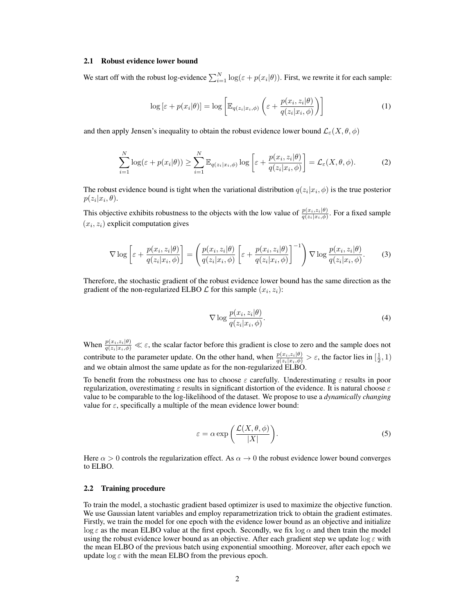#### 2.1 Robust evidence lower bound

We start off with the robust log-evidence  $\sum_{i=1}^{N} \log(\varepsilon + p(x_i|\theta))$ . First, we rewrite it for each sample:

$$
\log\left[\varepsilon + p(x_i|\theta)\right] = \log\left[\mathbb{E}_{q(z_i|x_i,\phi)}\left(\varepsilon + \frac{p(x_i,z_i|\theta)}{q(z_i|x_i,\phi)}\right)\right]
$$
(1)

and then apply Jensen's inequality to obtain the robust evidence lower bound  $\mathcal{L}_{\varepsilon}(X, \theta, \phi)$ 

$$
\sum_{i=1}^{N} \log(\varepsilon + p(x_i|\theta)) \ge \sum_{i=1}^{N} \mathbb{E}_{q(z_i|x_i,\phi)} \log \left[\varepsilon + \frac{p(x_i,z_i|\theta)}{q(z_i|x_i,\phi)}\right] = \mathcal{L}_{\varepsilon}(X,\theta,\phi). \tag{2}
$$

The robust evidence bound is tight when the variational distribution  $q(z_i|x_i, \phi)$  is the true posterior  $p(z_i|x_i, \theta).$ 

This objective exhibits robustness to the objects with the low value of  $\frac{p(x_i, z_i|\theta)}{q(z_i|x_i, \phi)}$ . For a fixed sample  $(x_i, z_i)$  explicit computation gives

$$
\nabla \log \left[ \varepsilon + \frac{p(x_i, z_i | \theta)}{q(z_i | x_i, \phi)} \right] = \left( \frac{p(x_i, z_i | \theta)}{q(z_i | x_i, \phi)} \left[ \varepsilon + \frac{p(x_i, z_i | \theta)}{q(z_i | x_i, \phi)} \right]^{-1} \right) \nabla \log \frac{p(x_i, z_i | \theta)}{q(z_i | x_i, \phi)}.
$$
 (3)

Therefore, the stochastic gradient of the robust evidence lower bound has the same direction as the gradient of the non-regularized ELBO  $\mathcal L$  for this sample  $(x_i, z_i)$ :

$$
\nabla \log \frac{p(x_i, z_i | \theta)}{q(z_i | x_i, \phi)}.
$$
\n(4)

When  $\frac{p(x_i,z_i|\theta)}{q(z_i|x_i,\phi)} \ll \varepsilon$ , the scalar factor before this gradient is close to zero and the sample does not contribute to the parameter update. On the other hand, when  $\frac{p(x_i, z_i|\theta)}{q(z_i|x_i, \phi)} > \varepsilon$ , the factor lies in  $[\frac{1}{2}, 1)$ and we obtain almost the same update as for the non-regularized ELBO.

<span id="page-1-0"></span>To benefit from the robustness one has to choose  $\varepsilon$  carefully. Underestimating  $\varepsilon$  results in poor regularization, overestimating  $\varepsilon$  results in significant distortion of the evidence. It is natural choose  $\varepsilon$ value to be comparable to the log-likelihood of the dataset. We propose to use a *dynamically changing* value for  $\varepsilon$ , specifically a multiple of the mean evidence lower bound:

$$
\varepsilon = \alpha \exp\left(\frac{\mathcal{L}(X,\theta,\phi)}{|X|}\right). \tag{5}
$$

Here  $\alpha > 0$  controls the regularization effect. As  $\alpha \to 0$  the robust evidence lower bound converges to ELBO.

### 2.2 Training procedure

To train the model, a stochastic gradient based optimizer is used to maximize the objective function. We use Gaussian latent variables and employ reparametrization trick to obtain the gradient estimates. Firstly, we train the model for one epoch with the evidence lower bound as an objective and initialize  $\log \varepsilon$  as the mean ELBO value at the first epoch. Secondly, we fix  $\log \alpha$  and then train the model using the robust evidence lower bound as an objective. After each gradient step we update  $\log \epsilon$  with the mean ELBO of the previous batch using exponential smoothing. Moreover, after each epoch we update  $\log \varepsilon$  with the mean ELBO from the previous epoch.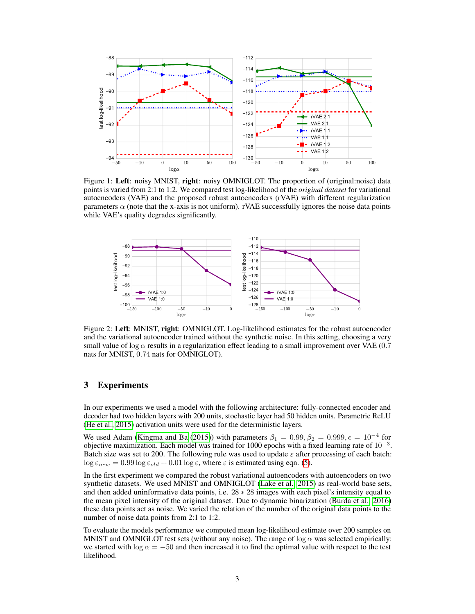<span id="page-2-0"></span>

Figure 1: Left: noisy MNIST, right: noisy OMNIGLOT. The proportion of (original:noise) data points is varied from 2:1 to 1:2. We compared test log-likelihood of the *original dataset* for variational autoencoders (VAE) and the proposed robust autoencoders (rVAE) with different regularization parameters  $\alpha$  (note that the x-axis is not uniform). rVAE successfully ignores the noise data points while VAE's quality degrades significantly.

<span id="page-2-1"></span>

Figure 2: Left: MNIST, right: OMNIGLOT. Log-likelihood estimates for the robust autoencoder and the variational autoencoder trained without the synthetic noise. In this setting, choosing a very small value of log  $\alpha$  results in a regularization effect leading to a small improvement over VAE (0.7) nats for MNIST, 0.74 nats for OMNIGLOT).

# 3 Experiments

In our experiments we used a model with the following architecture: fully-connected encoder and decoder had two hidden layers with 200 units, stochastic layer had 50 hidden units. Parametric ReLU [\(He et al., 2015\)](#page-3-4) activation units were used for the deterministic layers.

We used Adam [\(Kingma and Ba](#page-3-5) [\(2015\)](#page-3-5)) with parameters  $\beta_1 = 0.99, \beta_2 = 0.999, \epsilon = 10^{-4}$  for objective maximization. Each model was trained for 1000 epochs with a fixed learning rate of  $10^{-3}$ . Batch size was set to 200. The following rule was used to update  $\varepsilon$  after processing of each batch:  $\log \varepsilon_{new} = 0.99 \log \varepsilon_{old} + 0.01 \log \varepsilon$ , where  $\varepsilon$  is estimated using eqn. [\(5\)](#page-1-0).

In the first experiment we compared the robust variational autoencoders with autoencoders on two synthetic datasets. We used MNIST and OMNIGLOT [\(Lake et al., 2015\)](#page-3-6) as real-world base sets, and then added uninformative data points, i.e. 28 ∗ 28 images with each pixel's intensity equal to the mean pixel intensity of the original dataset. Due to dynamic binarization [\(Burda et al., 2016\)](#page-3-0) these data points act as noise. We varied the relation of the number of the original data points to the number of noise data points from 2:1 to 1:2.

To evaluate the models performance we computed mean log-likelihood estimate over 200 samples on MNIST and OMNIGLOT test sets (without any noise). The range of  $\log \alpha$  was selected empirically: we started with  $\log \alpha = -50$  and then increased it to find the optimal value with respect to the test likelihood.